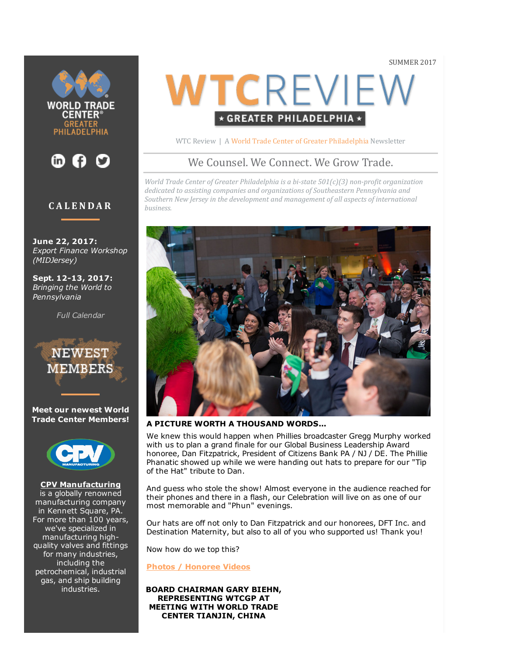SUMMER 2017





# **CALENDAR**

June 22, 2017: Export Finance Workshop (MIDJersey)

Sept. 12-13, 2017: Bringing the World to Pennsylvania

[Full Calendar](http://web.wtcphila.org/events)



Meet our newest World Trade Center Members!



[CPV Manufacturing](http://www.cpvmfg.com/) is a globally renowned manufacturing company in Kennett Square, PA. For more than 100 years, we've specialized in manufacturing highquality valves and fittings for many industries, including the petrochemical, industrial gas, and ship building industries.

# WTCREVIEW \* GREATER PHILADELPHIA \*

WTC Review | A [World Trade Center of Greater Philadelphia](http://www.wtcphila.org/) Newsletter

# We Counsel. We Connect. We Grow Trade.

*World Trade Center of Greater Philadelphia is a bi-state 501(c)(3) non-profit organization dedicated to assisting companies and organizations of Southeastern Pennsylvania and Southern New Jersey in the development and management of all aspects of international business.*



#### A PICTURE WORTH A THOUSAND WORDS...

We knew this would happen when Phillies broadcaster Gregg Murphy worked with us to plan a grand finale for our Global Business Leadership Award honoree, Dan Fitzpatrick, President of Citizens Bank PA / NJ / DE. The Phillie Phanatic showed up while we were handing out hats to prepare for our "Tip of the Hat" tribute to Dan.

And guess who stole the show! Almost everyone in the audience reached for their phones and there in a flash, our Celebration will live on as one of our most memorable and "Phun" evenings.

Our hats are off not only to Dan Fitzpatrick and our honorees, DFT Inc. and Destination Maternity, but also to all of you who supported us! Thank you!

Now how do we top this?

[Photos / Honoree Videos](http://www.wtcphila.org/news/world-trade-centers-day-a-picture-worth-a-thousand-words)

BOARD CHAIRMAN GARY BIEHN, REPRESENTING WTCGP AT MEETING WITH WORLD TRADE CENTER TIANJIN, CHINA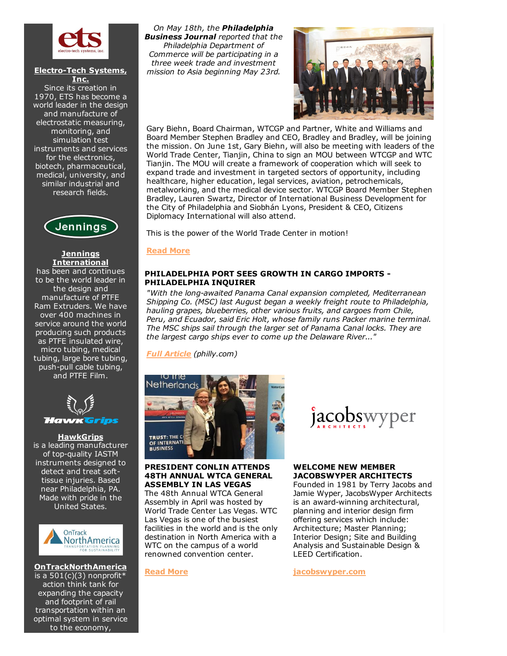

#### **Electro-Tech Systems,** Inc.

Since its creation in 1970, ETS has become a world leader in the design and manufacture of electrostatic measuring, monitoring, and simulation test instruments and services for the electronics, biotech, pharmaceutical, medical, university, and similar industrial and research fields.



#### **Jennings** [International](http://jenningsinternational.com/)

has been and continues to be the world leader in the design and manufacture of PTFE Ram Extruders. We have over 400 machines in service around the world producing such products as PTFE insulated wire, micro tubing, medical tubing, large bore tubing, push-pull cable tubing, and PTFE Film.



#### **[HawkGrips](https://hawkgrips.com/)**

is a leading manufacturer of top-quality IASTM instruments designed to detect and treat softtissue injuries. Based near Philadelphia, PA. Made with pride in the United States.



[OnTrackNorthAmerica](http://www.ontracknorthamerica.org/) is a  $501(c)(3)$  nonprofit\* action think tank for expanding the capacity and footprint of rail transportation within an optimal system in service to the economy,

On May 18th, the Philadelphia **Business Journal** reported that the Philadelphia Department of Commerce will be participating in a three week trade and investment mission to Asia beginning May 23rd.



Gary Biehn, Board Chairman, WTCGP and Partner, White and Williams and Board Member Stephen Bradley and CEO, Bradley and Bradley, will be joining the mission. On June 1st, Gary Biehn, will also be meeting with leaders of the World Trade Center, Tianjin, China to sign an MOU between WTCGP and WTC Tianjin. The MOU will create a framework of cooperation which will seek to expand trade and investment in targeted sectors of opportunity, including healthcare, higher education, legal services, aviation, petrochemicals, metalworking, and the medical device sector. WTCGP Board Member Stephen Bradley, Lauren Swartz, Director of International Business Development for the City of Philadelphia and Siobhán Lyons, President & CEO, Citizens Diplomacy International will also attend.

This is the power of the World Trade Center in motion!

#### [Read](http://www.wtcphila.org/news/board-chairman-gary-biehn-representing-wtcgp-at-meeting-with-world-trade-center-tianjin-china) More

#### PHILADELPHIA PORT SEES GROWTH IN CARGO IMPORTS PHILADELPHIA INQUIRER

"With the long-awaited Panama Canal expansion completed, Mediterranean Shipping Co. (MSC) last August began a weekly freight route to Philadelphia, hauling grapes, blueberries, other various fruits, and cargoes from Chile, Peru, and Ecuador, said Eric Holt, whose family runs Packer marine terminal. The MSC ships sail through the larger set of Panama Canal locks. They are the largest cargo ships ever to come up the Delaware River..."

Full [Article](http://www.philly.com/philly/business/Philadelphia-port-sees-growth-in-cargo-imports-arriving-in-containers-.html) (philly.com)



#### PRESIDENT CONLIN ATTENDS 48TH ANNUAL WTCA GENERAL ASSEMBLY IN LAS VEGAS

The 48th Annual WTCA General Assembly in April was hosted by World Trade Center Las Vegas. WTC Las Vegas is one of the busiest facilities in the world and is the only destination in North America with a WTC on the campus of a world renowned convention center.



#### WELCOME NEW MEMBER JACOBSWYPER ARCHITECTS

Founded in 1981 by Terry Jacobs and Jamie Wyper, JacobsWyper Architects is an award-winning architectural, planning and interior design firm offering services which include: Architecture; Master Planning; Interior Design; Site and Building Analysis and Sustainable Design & LEED Certification.

[Read](http://www.wtcphila.org/news/president-linda-conlin-attends-48th-annual-wtca-general-assembly-in-las-vegas) More

[jacobswyper.com](http://www.jacobswyper.com/)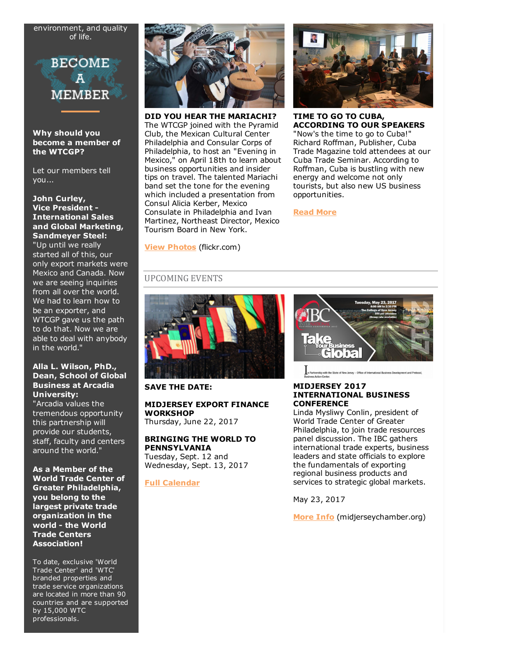environment, and quality of life.



Why should you become a member of the WTCGP?

Let our members tell you...

#### John Curley, Vice President International Sales and Global Marketing, Sandmeyer Steel:

"Up until we really started all of this, our only export markets were Mexico and Canada. Now we are seeing inquiries from all over the world. We had to learn how to be an exporter, and WTCGP gave us the path to do that. Now we are able to deal with anybody in the world."

#### Alla L. Wilson, PhD., Dean, School of Global Business at Arcadia University:

"Arcadia values the tremendous opportunity this partnership will provide our students, staff, faculty and centers around the world."

As a Member of the World Trade Center of Greater Philadelphia, you belong to the largest private trade organization in the world - the World Trade Centers Association!

To date, exclusive 'World Trade Center' and 'WTC' branded properties and trade service organizations are located in more than 90 countries and are supported by 15,000 WTC professionals.



DID YOU HEAR THE MARIACHI? The WTCGP joined with the Pyramid Club, the Mexican Cultural Center Philadelphia and Consular Corps of Philadelphia, to host an "Evening in Mexico," on April 18th to learn about business opportunities and insider tips on travel. The talented Mariachi band set the tone for the evening which included a presentation from Consul Alicia Kerber, Mexico Consulate in Philadelphia and Ivan Martinez, Northeast Director, Mexico Tourism Board in New York.



TIME TO GO TO CUBA, ACCORDING TO OUR SPEAKERS

"Now's the time to go to Cuba!" Richard Roffman, Publisher, Cuba Trade Magazine told attendees at our Cuba Trade Seminar. According to Roffman, Cuba is bustling with new energy and welcome not only tourists, but also new US business opportunities.

[Read More](http://www.wtcphila.org/news/time-to-go-to-cuba-according-to-our-speakers)

[View Photos](https://www.flickr.com/photos/wtcphila/albums/72157683977949255/with/34699110286/) (flickr.com)

## UPCOMING EVENTS



#### SAVE THE DATE:

# MIDJERSEY EXPORT FINANCE **WORKSHOP**

Thursday, June 22, 2017

## BRINGING THE WORLD TO PENNSYLVANIA

Tuesday, Sept. 12 and Wednesday, Sept. 13, 2017

### [Full Calendar](http://web.wtcphila.org/events)



of New Jersey - Office of International Business Development and Protocol

#### MIDJERSEY 2017 INTERNATIONAL BUSINESS **CONFERENCE**

Linda Mysliwy Conlin, president of World Trade Center of Greater Philadelphia, to join trade resources panel discussion. The IBC gathers international trade experts, business leaders and state officials to explore the fundamentals of exporting regional business products and services to strategic global markets.

May 23, 2017

[More Info](http://midjerseychamber.org/event/2017-international-business-conference/?instance_id=974) (midjerseychamber.org)